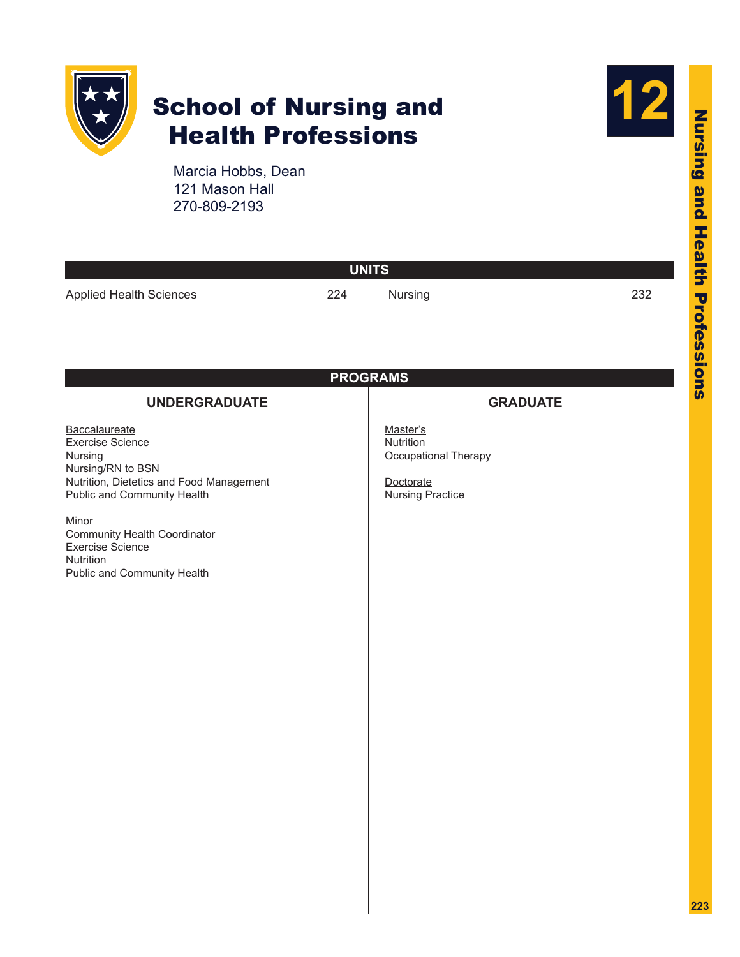

# School of Nursing and Health Professions



Marcia Hobbs, Dean 121 Mason Hall 270-809-2193

| <b>UNITS</b>                                                                                                                                                                                                                                                        |                 |                                                                                       |     |  |  |  |
|---------------------------------------------------------------------------------------------------------------------------------------------------------------------------------------------------------------------------------------------------------------------|-----------------|---------------------------------------------------------------------------------------|-----|--|--|--|
| <b>Applied Health Sciences</b>                                                                                                                                                                                                                                      | 224             | Nursing                                                                               | 232 |  |  |  |
|                                                                                                                                                                                                                                                                     |                 |                                                                                       |     |  |  |  |
|                                                                                                                                                                                                                                                                     |                 |                                                                                       |     |  |  |  |
|                                                                                                                                                                                                                                                                     | <b>PROGRAMS</b> |                                                                                       |     |  |  |  |
| <b>UNDERGRADUATE</b>                                                                                                                                                                                                                                                |                 | <b>GRADUATE</b>                                                                       |     |  |  |  |
| Baccalaureate<br><b>Exercise Science</b><br>Nursing<br>Nursing/RN to BSN<br>Nutrition, Dietetics and Food Management<br>Public and Community Health<br>Minor<br>Community Health Coordinator<br><b>Exercise Science</b><br>Nutrition<br>Public and Community Health |                 | Master's<br>Nutrition<br>Occupational Therapy<br>Doctorate<br><b>Nursing Practice</b> |     |  |  |  |
|                                                                                                                                                                                                                                                                     |                 |                                                                                       |     |  |  |  |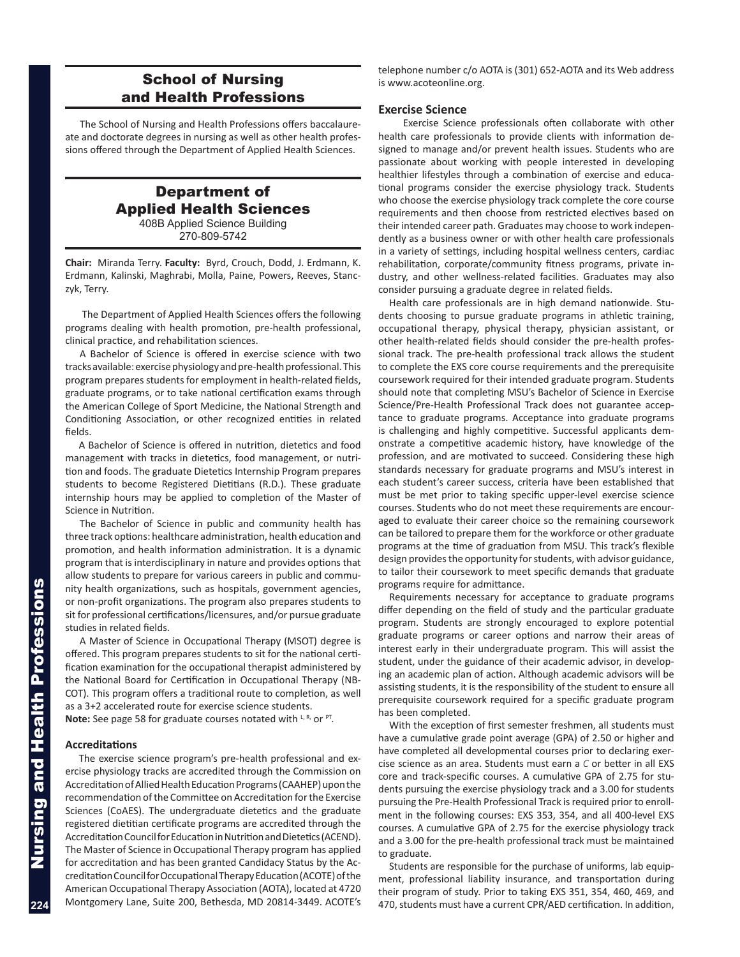# School of Nursing and Health Professions

<span id="page-1-0"></span>The School of Nursing and Health Professions offers baccalaureate and doctorate degrees in nursing as well as other health professions offered through the Department of Applied Health Sciences.

# Department of Applied Health Sciences 408B Applied Science Building 270-809-5742

**Chair:** Miranda Terry. **Faculty:** Byrd, Crouch, Dodd, J. Erdmann, K. Erdmann, Kalinski, Maghrabi, Molla, Paine, Powers, Reeves, Stanczyk, Terry.

 The Department of Applied Health Sciences offers the following programs dealing with health promotion, pre-health professional, clinical practice, and rehabilitation sciences.

A Bachelor of Science is offered in exercise science with two tracks available: exercise physiology and pre-health professional. This program prepares students for employment in health-related fields, graduate programs, or to take national certification exams through the American College of Sport Medicine, the National Strength and Conditioning Association, or other recognized entities in related fields.

A Bachelor of Science is offered in nutrition, dietetics and food management with tracks in dietetics, food management, or nutrition and foods. The graduate Dietetics Internship Program prepares students to become Registered Dietitians (R.D.). These graduate internship hours may be applied to completion of the Master of Science in Nutrition.

The Bachelor of Science in public and community health has three track options: healthcare administration, health education and promotion, and health information administration. It is a dynamic program that is interdisciplinary in nature and provides options that allow students to prepare for various careers in public and community health organizations, such as hospitals, government agencies, or non-profit organizations. The program also prepares students to sit for professional certifications/licensures, and/or pursue graduate studies in related fields.

A Master of Science in Occupational Therapy (MSOT) degree is offered. This program prepares students to sit for the national certification examination for the occupational therapist administered by the National Board for Certification in Occupational Therapy (NB-COT). This program offers a traditional route to completion, as well as a 3+2 accelerated route for exercise science students.

Note: See page 58 for graduate courses notated with L, R, or PT.

#### **Accreditations**

The exercise science program's pre-health professional and exercise physiology tracks are accredited through the Commission on Accreditation of Allied Health Education Programs (CAAHEP) upon the recommendation of the Committee on Accreditation for the Exercise Sciences (CoAES). The undergraduate dietetics and the graduate registered dietitian certificate programs are accredited through the Accreditation Council for Education in Nutrition and Dietetics (ACEND). The Master of Science in Occupational Therapy program has applied for accreditation and has been granted Candidacy Status by the Accreditation Council for Occupational Therapy Education (ACOTE) of the American Occupational Therapy Association (AOTA), located at 4720 Montgomery Lane, Suite 200, Bethesda, MD 20814-3449. ACOTE's telephone number c/o AOTA is (301) 652-AOTA and its Web address is www.acoteonline.org.

#### **Exercise Science**

 Exercise Science professionals often collaborate with other health care professionals to provide clients with information designed to manage and/or prevent health issues. Students who are passionate about working with people interested in developing healthier lifestyles through a combination of exercise and educational programs consider the exercise physiology track. Students who choose the exercise physiology track complete the core course requirements and then choose from restricted electives based on their intended career path. Graduates may choose to work independently as a business owner or with other health care professionals in a variety of settings, including hospital wellness centers, cardiac rehabilitation, corporate/community fitness programs, private industry, and other wellness-related facilities. Graduates may also consider pursuing a graduate degree in related fields.

Health care professionals are in high demand nationwide. Students choosing to pursue graduate programs in athletic training, occupational therapy, physical therapy, physician assistant, or other health-related fields should consider the pre-health professional track. The pre-health professional track allows the student to complete the EXS core course requirements and the prerequisite coursework required for their intended graduate program. Students should note that completing MSU's Bachelor of Science in Exercise Science/Pre-Health Professional Track does not guarantee acceptance to graduate programs. Acceptance into graduate programs is challenging and highly competitive. Successful applicants demonstrate a competitive academic history, have knowledge of the profession, and are motivated to succeed. Considering these high standards necessary for graduate programs and MSU's interest in each student's career success, criteria have been established that must be met prior to taking specific upper-level exercise science courses. Students who do not meet these requirements are encouraged to evaluate their career choice so the remaining coursework can be tailored to prepare them for the workforce or other graduate programs at the time of graduation from MSU. This track's flexible design provides the opportunity for students, with advisor guidance, to tailor their coursework to meet specific demands that graduate programs require for admittance.

Requirements necessary for acceptance to graduate programs differ depending on the field of study and the particular graduate program. Students are strongly encouraged to explore potential graduate programs or career options and narrow their areas of interest early in their undergraduate program. This will assist the student, under the guidance of their academic advisor, in developing an academic plan of action. Although academic advisors will be assisting students, it is the responsibility of the student to ensure all prerequisite coursework required for a specific graduate program has been completed.

With the exception of first semester freshmen, all students must have a cumulative grade point average (GPA) of 2.50 or higher and have completed all developmental courses prior to declaring exercise science as an area. Students must earn a *C* or better in all EXS core and track-specific courses. A cumulative GPA of 2.75 for students pursuing the exercise physiology track and a 3.00 for students pursuing the Pre-Health Professional Track is required prior to enrollment in the following courses: EXS 353, 354, and all 400-level EXS courses. A cumulative GPA of 2.75 for the exercise physiology track and a 3.00 for the pre-health professional track must be maintained to graduate.

Students are responsible for the purchase of uniforms, lab equipment, professional liability insurance, and transportation during their program of study. Prior to taking EXS 351, 354, 460, 469, and 470, students must have a current CPR/AED certification. In addition,

**224**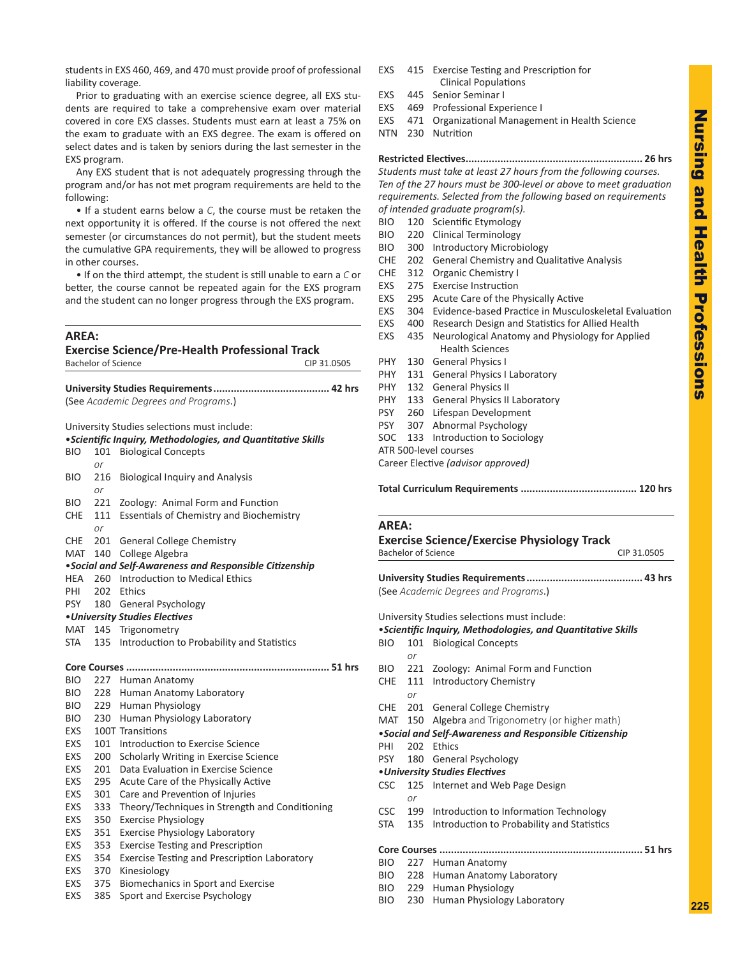<span id="page-2-0"></span>students in EXS 460, 469, and 470 must provide proof of professional liability coverage.

Prior to graduating with an exercise science degree, all EXS students are required to take a comprehensive exam over material covered in core EXS classes. Students must earn at least a 75% on the exam to graduate with an EXS degree. The exam is offered on select dates and is taken by seniors during the last semester in the EXS program.

Any EXS student that is not adequately progressing through the program and/or has not met program requirements are held to the following:

• If a student earns below a *C*, the course must be retaken the next opportunity it is offered. If the course is not offered the next semester (or circumstances do not permit), but the student meets the cumulative GPA requirements, they will be allowed to progress in other courses.

• If on the third attempt, the student is still unable to earn a *C* or better, the course cannot be repeated again for the EXS program and the student can no longer progress through the EXS program.

#### **AREA:**

#### **Exercise Science/Pre-Health Professional Track** Bachelor of Science CIP 31.0505

**University Studies Requirements........................................ 42 hrs** (See *Academic Degrees and Programs*.)

University Studies selections must include:

|            |     | <i>·Scientific Inquiry, Methodologies, and Quantitative Skills</i> |
|------------|-----|--------------------------------------------------------------------|
| BIO        | 101 | <b>Biological Concepts</b>                                         |
|            | or  |                                                                    |
| BIO        | 216 | <b>Biological Inquiry and Analysis</b>                             |
|            | or  |                                                                    |
| <b>BIO</b> | 221 | Zoology: Animal Form and Function                                  |
| CHE        | 111 | <b>Essentials of Chemistry and Biochemistry</b>                    |
|            | or  |                                                                    |
| CHE        | 201 | <b>General College Chemistry</b>                                   |
| MAT        |     | 140 College Algebra                                                |
|            |     | •Social and Self-Awareness and Responsible Citizenship             |
| HEA        | 260 | Introduction to Medical Ethics                                     |
| PHI        |     | 202 Ethics                                                         |
| PSY        |     | 180 General Psychology                                             |
|            |     | • University Studies Electives                                     |
|            |     | MAT 145 Trigonometry                                               |
| STA        |     | 135 Introduction to Probability and Statistics                     |
|            |     |                                                                    |
|            |     |                                                                    |
| <b>BIO</b> |     | 227 Human Anatomy                                                  |
| <b>BIO</b> |     | 228 Human Anatomy Laboratory                                       |
| <b>BIO</b> |     | 229 Human Physiology                                               |
| <b>BIO</b> |     | 230 Human Physiology Laboratory                                    |
| <b>EXS</b> |     | 100T Transitions                                                   |
| <b>EXS</b> |     | 101 Introduction to Exercise Science                               |
| EXS        | 200 | Scholarly Writing in Exercise Science                              |
| EXS        | 201 | Data Evaluation in Exercise Science                                |
| EXS        | 295 | Acute Care of the Physically Active                                |
| EXS        | 301 | Care and Prevention of Injuries                                    |
| EXS        | 333 | Theory/Techniques in Strength and Conditioning                     |
| EXS        | 350 | <b>Exercise Physiology</b>                                         |
| EXS        | 351 | <b>Exercise Physiology Laboratory</b>                              |
| EXS        | 353 | <b>Exercise Testing and Prescription</b>                           |
| EXS        | 354 | <b>Exercise Testing and Prescription Laboratory</b>                |
| EXS        | 370 | Kinesiology                                                        |
| EXS        | 375 | Biomechanics in Sport and Exercise                                 |
| EXS        | 385 | Sport and Exercise Psychology                                      |

- EXS 415 Exercise Testing and Prescription for Clinical Populations
- EXS 445 Senior Seminar I
- EXS 469 Professional Experience I
- EXS 471 Organizational Management in Health Science
- NTN 230 Nutrition

**Restricted Electives............................................................. 26 hrs** *Students must take at least 27 hours from the following courses.* 

*Ten of the 27 hours must be 300-level or above to meet graduation requirements. Selected from the following based on requirements of intended graduate program(s).* 

- BIO 120 Scientific Etymology
- BIO 220 Clinical Terminology
- BIO 300 Introductory Microbiology
- CHE 202 General Chemistry and Qualitative Analysis
- CHE 312 Organic Chemistry I
- EXS 275 Exercise Instruction
- EXS 295 Acute Care of the Physically Active
- EXS 304 Evidence-based Practice in Musculoskeletal Evaluation
- EXS 400 Research Design and Statistics for Allied Health
- EXS 435 Neurological Anatomy and Physiology for Applied Health Sciences
- PHY 130 General Physics I PHY 131 General Physics I Laboratory
- PHY 132 General Physics II
- PHY 133 General Physics II Laboratory
- PSY 260 Lifespan Development
- PSY 307 Abnormal Psychology
- SOC 133 Introduction to Sociology
- ATR 500-level courses
- Career Elective *(advisor approved)*
- **Total Curriculum Requirements ........................................ 120 hrs**

#### **AREA:**

#### **Exercise Science/Exercise Physiology Track** Bachelor of Science CIP 31.0505

**University Studies Requirements........................................ 43 hrs** (See *Academic Degrees and Programs*.)

University Studies selections must include:

- •*Scientific Inquiry, Methodologies, and Quantitative Skills*
- BIO 101 Biological Concepts
- *or* BIO 221 Zoology: Animal Form and Function
- CHE 111 Introductory Chemistry
- *or*
- CHE 201 General College Chemistry
- MAT 150 Algebra and Trigonometry (or higher math)
- •*Social and Self-Awareness and Responsible Citizenship*
- PHI 202 Ethics
- PSY 180 General Psychology
- •*University Studies Electives*
- CSC 125 Internet and Web Page Design
	- *or*
- CSC 199 Introduction to Information Technology
	- STA 135 Introduction to Probability and Statistics

|--|--|--|

- BIO 227 Human Anatomy
- BIO 228 Human Anatomy Laboratory
- BIO 229 Human Physiology
- BIO 230 Human Physiology Laboratory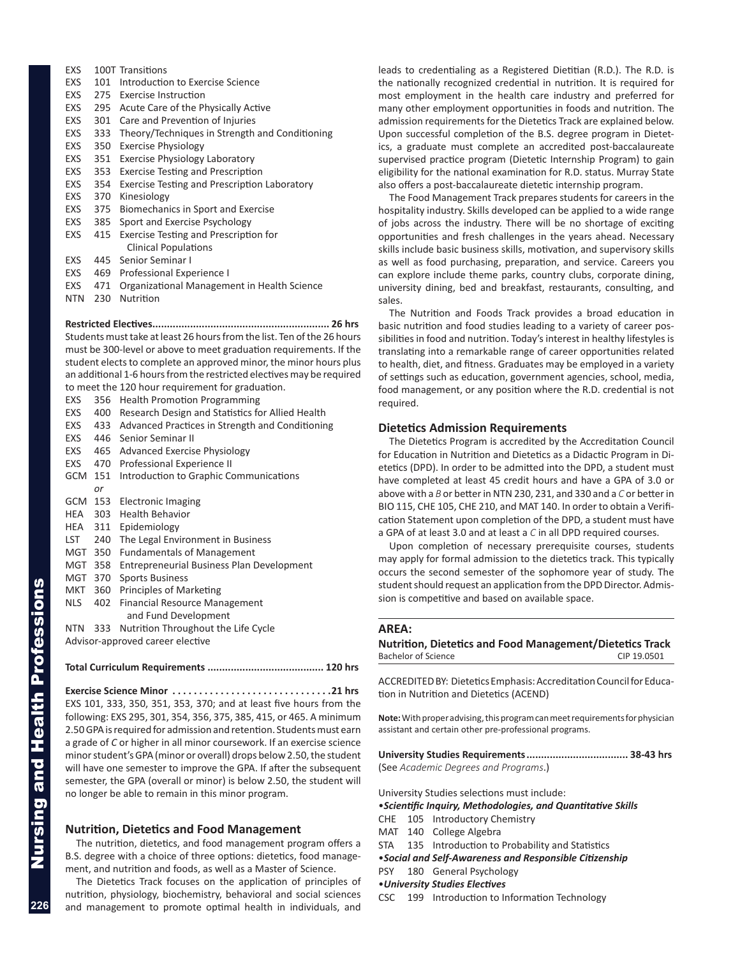- <span id="page-3-0"></span>EXS 100T Transitions
- EXS 101 Introduction to Exercise Science
- EXS 275 Exercise Instruction
- EXS 295 Acute Care of the Physically Active
- EXS 301 Care and Prevention of Injuries
- EXS 333 Theory/Techniques in Strength and Conditioning
- EXS 350 Exercise Physiology
- EXS 351 Exercise Physiology Laboratory
- EXS 353 Exercise Testing and Prescription
- EXS 354 Exercise Testing and Prescription Laboratory
- EXS 370 Kinesiology
- EXS 375 Biomechanics in Sport and Exercise
- EXS 385 Sport and Exercise Psychology
- EXS 415 Exercise Testing and Prescription for Clinical Populations
- EXS 445 Senior Seminar I
- EXS 469 Professional Experience I
- EXS 471 Organizational Management in Health Science
- NTN 230 Nutrition

# **Restricted Electives............................................................. 26 hrs**

Students must take at least 26 hours from the list. Ten of the 26 hours must be 300-level or above to meet graduation requirements. If the student elects to complete an approved minor, the minor hours plus an additional 1-6 hours from the restricted electives may be required to meet the 120 hour requirement for graduation.

|            | to meet the 120 nour requirement for graduation. |
|------------|--------------------------------------------------|
| 356        | <b>Health Promotion Programming</b>              |
| 400        | Research Design and Statistics for Allied Health |
|            | Advanced Practices in Strength and Conditioning  |
| 446        | Senior Seminar II                                |
| 465        | <b>Advanced Exercise Physiology</b>              |
| 470        | Professional Experience II                       |
| GCM<br>151 | Introduction to Graphic Communications           |
| or         |                                                  |
|            | Electronic Imaging                               |
| HEA        | <b>Health Behavior</b>                           |
| HEA<br>311 | Epidemiology                                     |
| 240        | The Legal Environment in Business                |
| MGT 350    | <b>Fundamentals of Management</b>                |
| MGT<br>358 | <b>Entrepreneurial Business Plan Development</b> |
| MGT<br>370 | <b>Sports Business</b>                           |
| MKT<br>360 | Principles of Marketing                          |
|            | Financial Resource Management                    |
|            | and Fund Development                             |
| 333        | Nutrition Throughout the Life Cycle              |
|            | Advisor-approved career elective                 |
|            |                                                  |
|            | 433<br>153<br>303<br>402                         |

# **Total Curriculum Requirements ........................................ 120 hrs**

**Exercise Science Minor. 21 hrs** EXS 101, 333, 350, 351, 353, 370; and at least five hours from the following: EXS 295, 301, 354, 356, 375, 385, 415, or 465. A minimum 2.50 GPA is required for admission and retention. Students must earn a grade of *C* or higher in all minor coursework. If an exercise science minor student's GPA (minor or overall) drops below 2.50, the student will have one semester to improve the GPA. If after the subsequent semester, the GPA (overall or minor) is below 2.50, the student will no longer be able to remain in this minor program.

# **Nutrition, Dietetics and Food Management**

The nutrition, dietetics, and food management program offers a B.S. degree with a choice of three options: dietetics, food management, and nutrition and foods, as well as a Master of Science.

The Dietetics Track focuses on the application of principles of nutrition, physiology, biochemistry, behavioral and social sciences and management to promote optimal health in individuals, and

leads to credentialing as a Registered Dietitian (R.D.). The R.D. is the nationally recognized credential in nutrition. It is required for most employment in the health care industry and preferred for many other employment opportunities in foods and nutrition. The admission requirements for the Dietetics Track are explained below. Upon successful completion of the B.S. degree program in Dietetics, a graduate must complete an accredited post-baccalaureate supervised practice program (Dietetic Internship Program) to gain eligibility for the national examination for R.D. status. Murray State also offers a post-baccalaureate dietetic internship program.

The Food Management Track prepares students for careers in the hospitality industry. Skills developed can be applied to a wide range of jobs across the industry. There will be no shortage of exciting opportunities and fresh challenges in the years ahead. Necessary skills include basic business skills, motivation, and supervisory skills as well as food purchasing, preparation, and service. Careers you can explore include theme parks, country clubs, corporate dining, university dining, bed and breakfast, restaurants, consulting, and sales.

The Nutrition and Foods Track provides a broad education in basic nutrition and food studies leading to a variety of career possibilities in food and nutrition. Today's interest in healthy lifestyles is translating into a remarkable range of career opportunities related to health, diet, and fitness. Graduates may be employed in a variety of settings such as education, government agencies, school, media, food management, or any position where the R.D. credential is not required.

# **Dietetics Admission Requirements**

The Dietetics Program is accredited by the Accreditation Council for Education in Nutrition and Dietetics as a Didactic Program in Dietetics (DPD). In order to be admitted into the DPD, a student must have completed at least 45 credit hours and have a GPA of 3.0 or above with a *B* or better in NTN 230, 231, and 330 and a *C* or better in BIO 115, CHE 105, CHE 210, and MAT 140. In order to obtain a Verification Statement upon completion of the DPD, a student must have a GPA of at least 3.0 and at least a *C* in all DPD required courses.

Upon completion of necessary prerequisite courses, students may apply for formal admission to the dietetics track. This typically occurs the second semester of the sophomore year of study. The student should request an application from the DPD Director. Admission is competitive and based on available space.

#### **AREA:**

**Nutrition, Dietetics and Food Management/Dietetics Track** Bachelor of Science CIP 19.0501

ACCREDITED BY: Dietetics Emphasis:Accreditation Council for Education in Nutrition and Dietetics (ACEND)

**Note:** With proper advising, this program can meet requirements for physician assistant and certain other pre-professional programs.

**University Studies Requirements................................... 38-43 hrs** (See *Academic Degrees and Programs*.)

University Studies selections must include:

•*Scientific Inquiry, Methodologies, and Quantitative Skills*

- CHE 105 Introductory Chemistry
- MAT 140 College Algebra
- STA 135 Introduction to Probability and Statistics
- •*Social and Self-Awareness and Responsible Citizenship*
- PSY 180 General Psychology

#### •*University Studies Electives*

CSC 199 Introduction to Information Technology

**226**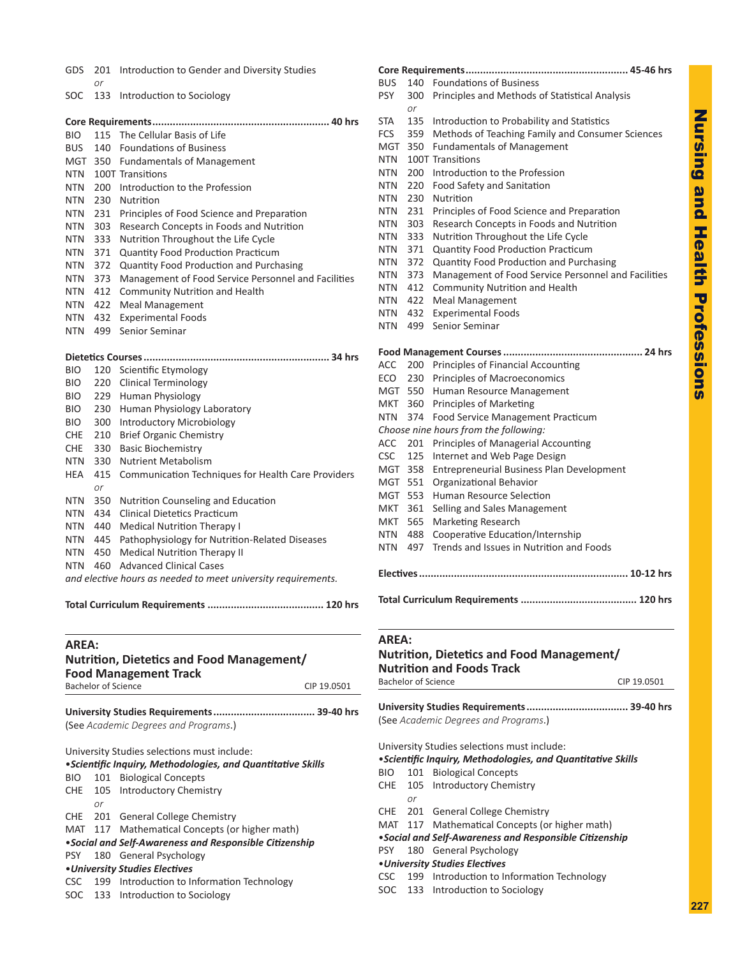| ֚֚֞           |  |
|---------------|--|
| <b>AQUIST</b> |  |
| n<br>E        |  |
| -<br>G        |  |
| Ξ             |  |
| É             |  |
| essions       |  |
|               |  |

| GDS                        | 201        | Introduction to Gender and Diversity Studies                    |
|----------------------------|------------|-----------------------------------------------------------------|
|                            | or         |                                                                 |
| SOC                        | 133        | Introduction to Sociology                                       |
|                            |            |                                                                 |
| <b>BIO</b>                 | 115        | The Cellular Basis of Life                                      |
| <b>BUS</b>                 | 140        | <b>Foundations of Business</b>                                  |
| MGT                        | 350        | <b>Fundamentals of Management</b>                               |
| NTN                        |            | 100T Transitions                                                |
| NTN                        | 200        | Introduction to the Profession                                  |
| NTN                        | 230        | Nutrition                                                       |
| <b>NTN</b>                 | 231        | Principles of Food Science and Preparation                      |
| <b>NTN</b>                 | 303        | Research Concepts in Foods and Nutrition                        |
| NTN                        | 333        | Nutrition Throughout the Life Cycle                             |
| <b>NTN</b>                 | 371        | Quantity Food Production Practicum                              |
| NTN                        | 372        | Quantity Food Production and Purchasing                         |
| NTN                        | 373        | Management of Food Service Personnel and Facilities             |
| <b>NTN</b>                 | 412        | <b>Community Nutrition and Health</b>                           |
| NTN                        | 422        | <b>Meal Management</b>                                          |
| NTN.                       | 432        | <b>Experimental Foods</b>                                       |
| NTN                        | 499        | Senior Seminar                                                  |
|                            |            |                                                                 |
| <b>BIO</b>                 | 120        | Scientific Etymology                                            |
|                            |            |                                                                 |
| <b>BIO</b><br>BIO.         | 220<br>229 | Clinical Terminology<br><b>Human Physiology</b>                 |
| BIO.                       | 230        |                                                                 |
| BIO.                       | 300        | Human Physiology Laboratory<br><b>Introductory Microbiology</b> |
| CHE                        | 210        | <b>Brief Organic Chemistry</b>                                  |
| CHE                        | 330        | <b>Basic Biochemistry</b>                                       |
| NTN                        | 330        | <b>Nutrient Metabolism</b>                                      |
| HEA                        | 415        | Communication Techniques for Health Care Providers              |
|                            | or         |                                                                 |
| NTN                        | 350        | Nutrition Counseling and Education                              |
| NTN                        | 434        | <b>Clinical Dietetics Practicum</b>                             |
| <b>NTN</b>                 | 440        | Medical Nutrition Therapy I                                     |
| NTN                        | 445        | Pathophysiology for Nutrition-Related Diseases                  |
| NTN                        | 450        | <b>Medical Nutrition Therapy II</b>                             |
| NTN                        | 460        | <b>Advanced Clinical Cases</b>                                  |
|                            |            | and elective hours as needed to meet university requirements.   |
|                            |            | Total Curriculum Requirements<br>120 hrs                        |
|                            |            |                                                                 |
| <b>AREA:</b>               |            |                                                                 |
|                            |            | Nutrition, Dietetics and Food Management/                       |
|                            |            | <b>Food Management Track</b>                                    |
| <b>Bachelor of Science</b> |            | CIP 19.0501                                                     |

**University Studies Requirements................................... 39-40 hrs** (See *Academic Degrees and Programs*.)

University Studies selections must include:

|            | • Scientific Inquiry, Methodologies, and Quantitative Skills |                                                         |  |  |  |  |  |
|------------|--------------------------------------------------------------|---------------------------------------------------------|--|--|--|--|--|
| BIO DI     |                                                              | 101 Biological Concepts                                 |  |  |  |  |  |
|            |                                                              | CHE 105 Introductory Chemistry                          |  |  |  |  |  |
|            | or                                                           |                                                         |  |  |  |  |  |
|            |                                                              | CHE 201 General College Chemistry                       |  |  |  |  |  |
|            |                                                              | MAT 117 Mathematical Concepts (or higher math)          |  |  |  |  |  |
|            |                                                              | • Social and Self-Awareness and Responsible Citizenship |  |  |  |  |  |
|            |                                                              | PSY 180 General Psychology                              |  |  |  |  |  |
|            |                                                              | • University Studies Electives                          |  |  |  |  |  |
| <b>CSC</b> |                                                              | 199 Introduction to Information Technology              |  |  |  |  |  |
|            |                                                              | SOC 133 Introduction to Sociology                       |  |  |  |  |  |

| BUS<br>PSY | 140<br>300 | <b>Foundations of Business</b><br>Principles and Methods of Statistical Analysis |
|------------|------------|----------------------------------------------------------------------------------|
|            | or         |                                                                                  |
| STA        | 135        | Introduction to Probability and Statistics                                       |
| FCS        | 359        | Methods of Teaching Family and Consumer Sciences                                 |
| MGT        | 350        | <b>Fundamentals of Management</b>                                                |
| NTN        |            | 100T Transitions                                                                 |
| NTN        | 200        | Introduction to the Profession                                                   |
| NTN        | 220        | Food Safety and Sanitation                                                       |
| NTN        | 230        | Nutrition                                                                        |
| NTN        | 231        | Principles of Food Science and Preparation                                       |
| NTN        | 303        | Research Concepts in Foods and Nutrition                                         |
| NTN        | 333        | Nutrition Throughout the Life Cycle                                              |
| NTN        | 371        | Quantity Food Production Practicum                                               |
| NTN        | 372        | <b>Quantity Food Production and Purchasing</b>                                   |
| NTN        | 373        | Management of Food Service Personnel and Facilities                              |
| NTN        | 412        | Community Nutrition and Health                                                   |
| NTN        | 422        | <b>Meal Management</b>                                                           |
| NTN        | 432        | <b>Experimental Foods</b>                                                        |
| NTN        | 499        | Senior Seminar                                                                   |
|            |            |                                                                                  |
| ACC        | 200        | Principles of Financial Accounting                                               |
| ECO        | 230        | Principles of Macroeconomics                                                     |
| MGT        | 550        | Human Resource Management                                                        |
| MKT        | 360        | <b>Principles of Marketing</b>                                                   |
| NTN        | 374        | <b>Food Service Management Practicum</b>                                         |
|            |            | Choose nine hours from the following:                                            |
| ACC        | 201        | Principles of Managerial Accounting                                              |
| CSC.       | 125        | Internet and Web Page Design                                                     |
| MGT        | 358        | Entrepreneurial Business Plan Development                                        |
| MGT        | 551        | Organizational Behavior                                                          |
| MGT        | 553        | <b>Human Resource Selection</b>                                                  |
| MKT        | 361        | Selling and Sales Management                                                     |
| MKT        | 565        | Marketing Research                                                               |
| NTN        | 488        | Cooperative Education/Internship                                                 |
| NTN        | 497        | Trends and Issues in Nutrition and Foods                                         |
|            |            |                                                                                  |
|            |            |                                                                                  |
|            |            |                                                                                  |

**Core Requirements........................................................ 45-46 hrs**

# **AREA:**

**Nutrition, Dietetics and Food Management/ Nutrition and Foods Track** Bachelor of Science CIP 19.0501

**University Studies Requirements................................... 39-40 hrs** (See *Academic Degrees and Programs*.)

University Studies selections must include:

•*Scientific Inquiry, Methodologies, and Quantitative Skills*

- BIO 101 Biological Concepts
- CHE 105 Introductory Chemistry
- *or* CHE 201 General College Chemistry
- MAT 117 Mathematical Concepts (or higher math)
- •*Social and Self-Awareness and Responsible Citizenship*

PSY 180 General Psychology

# •*University Studies Electives*

CSC 199 Introduction to Information Technology

SOC 133 Introduction to Sociology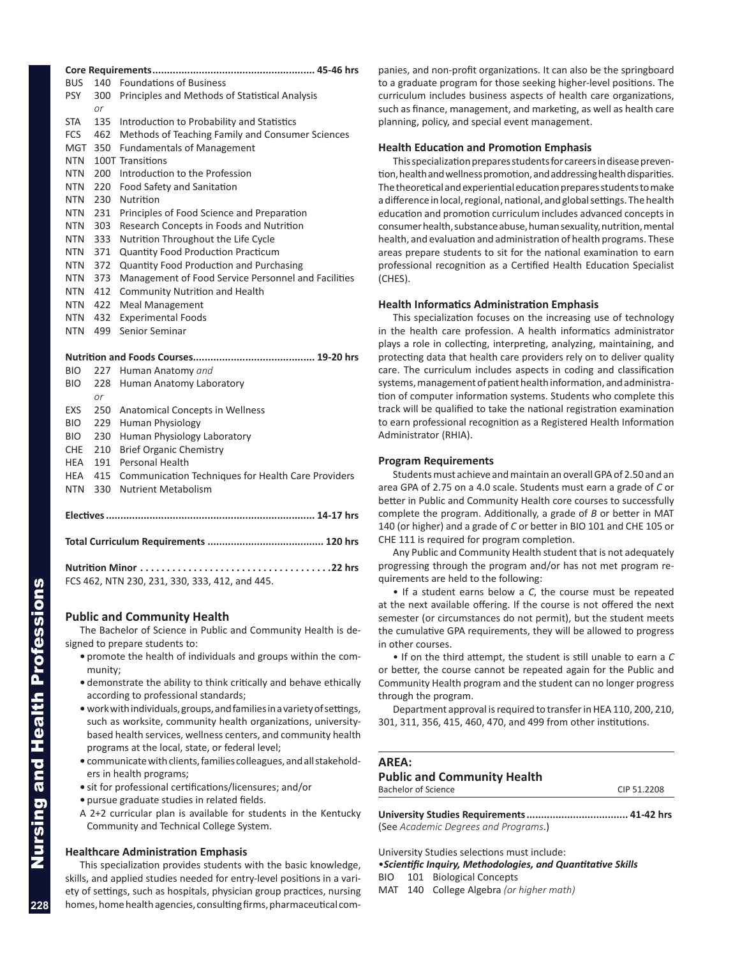<span id="page-5-0"></span>

| <b>BUS</b>               |            | 140 Foundations of Business                                                      |
|--------------------------|------------|----------------------------------------------------------------------------------|
| <b>PSY</b>               | 300        | Principles and Methods of Statistical Analysis                                   |
|                          | or         |                                                                                  |
| <b>STA</b>               | 135        | Introduction to Probability and Statistics                                       |
| <b>FCS</b>               | 462        | Methods of Teaching Family and Consumer Sciences                                 |
| MGT                      | 350        | <b>Fundamentals of Management</b>                                                |
| <b>NTN</b>               |            | 100T Transitions                                                                 |
| <b>NTN</b>               | 200        | Introduction to the Profession                                                   |
| <b>NTN</b>               | 220        | Food Safety and Sanitation                                                       |
| <b>NTN</b>               | 230        | Nutrition                                                                        |
| <b>NTN</b>               | 231        | Principles of Food Science and Preparation                                       |
| NTN                      | 303        | Research Concepts in Foods and Nutrition                                         |
| NTN                      | 333        | Nutrition Throughout the Life Cycle                                              |
| <b>NTN</b>               | 371        | <b>Quantity Food Production Practicum</b>                                        |
| <b>NTN</b>               | 372        | <b>Quantity Food Production and Purchasing</b>                                   |
| <b>NTN</b>               | 373        | Management of Food Service Personnel and Facilities                              |
| <b>NTN</b>               | 412        | <b>Community Nutrition and Health</b>                                            |
| NTN.                     | 422        | <b>Meal Management</b>                                                           |
| NTN.                     | 432        | <b>Experimental Foods</b>                                                        |
| NTN.                     | 499        | Senior Seminar                                                                   |
|                          |            |                                                                                  |
|                          |            |                                                                                  |
| <b>BIO</b>               | 227        | Human Anatomy and                                                                |
| <b>BIO</b>               | 228        | Human Anatomy Laboratory                                                         |
|                          | or         |                                                                                  |
| EXS                      | 250        | <b>Anatomical Concepts in Wellness</b>                                           |
| <b>BIO</b>               | 229        | <b>Human Physiology</b>                                                          |
| <b>BIO</b>               | 230        | Human Physiology Laboratory                                                      |
| <b>CHE</b><br><b>HEA</b> | 210<br>191 | <b>Brief Organic Chemistry</b><br>Personal Health                                |
|                          | 415        |                                                                                  |
| HEA                      | 330        | Communication Techniques for Health Care Providers<br><b>Nutrient Metabolism</b> |
| <b>NTN</b>               |            |                                                                                  |
|                          |            |                                                                                  |
|                          |            |                                                                                  |

| Nutrition Minor $\dots\dots\dots\dots\dots\dots\dots\dots\dots\dots$ . 22 hrs |  |
|-------------------------------------------------------------------------------|--|
| FCS 462, NTN 230, 231, 330, 333, 412, and 445.                                |  |

# **Public and Community Health**

The Bachelor of Science in Public and Community Health is designed to prepare students to:

- **•** promote the health of individuals and groups within the community;
- **•** demonstrate the ability to think critically and behave ethically according to professional standards;
- **•** work with individuals, groups, and families in a variety of settings, such as worksite, community health organizations, universitybased health services, wellness centers, and community health programs at the local, state, or federal level;
- **•** communicate with clients, families colleagues, and all stakeholders in health programs;
- **•** sit for professional certifications/licensures; and/or
- **•** pursue graduate studies in related fields.
- A 2+2 curricular plan is available for students in the Kentucky Community and Technical College System.

# **Healthcare Administration Emphasis**

This specialization provides students with the basic knowledge, skills, and applied studies needed for entry-level positions in a variety of settings, such as hospitals, physician group practices, nursing homes, home health agencies, consulting firms, pharmaceutical companies, and non-profit organizations. It can also be the springboard to a graduate program for those seeking higher-level positions. The curriculum includes business aspects of health care organizations, such as finance, management, and marketing, as well as health care planning, policy, and special event management.

#### **Health Education and Promotion Emphasis**

This specialization prepares students for careers in disease prevention, health and wellness promotion, and addressing health disparities. The theoretical and experiential education prepares students to make a difference in local, regional, national, and global settings. The health education and promotion curriculum includes advanced concepts in consumer health, substance abuse, human sexuality, nutrition, mental health, and evaluation and administration of health programs. These areas prepare students to sit for the national examination to earn professional recognition as a Certified Health Education Specialist (CHES).

#### **Health Informatics Administration Emphasis**

This specialization focuses on the increasing use of technology in the health care profession. A health informatics administrator plays a role in collecting, interpreting, analyzing, maintaining, and protecting data that health care providers rely on to deliver quality care. The curriculum includes aspects in coding and classification systems, management of patient health information, and administration of computer information systems. Students who complete this track will be qualified to take the national registration examination to earn professional recognition as a Registered Health Information Administrator (RHIA).

#### **Program Requirements**

Students must achieve and maintain an overall GPA of 2.50 and an area GPA of 2.75 on a 4.0 scale. Students must earn a grade of *C* or better in Public and Community Health core courses to successfully complete the program. Additionally, a grade of *B* or better in MAT 140 (or higher) and a grade of *C* or better in BIO 101 and CHE 105 or CHE 111 is required for program completion.

Any Public and Community Health student that is not adequately progressing through the program and/or has not met program requirements are held to the following:

• If a student earns below a *C*, the course must be repeated at the next available offering. If the course is not offered the next semester (or circumstances do not permit), but the student meets the cumulative GPA requirements, they will be allowed to progress in other courses.

• If on the third attempt, the student is still unable to earn a *C* or better, the course cannot be repeated again for the Public and Community Health program and the student can no longer progress through the program.

Department approval is required to transfer in HEA 110, 200, 210, 301, 311, 356, 415, 460, 470, and 499 from other institutions.

# **AREA:**

#### **Public and Community Health** Bachelor of Science CIP 51.2208

**University Studies Requirements................................... 41-42 hrs** (See *Academic Degrees and Programs*.)

University Studies selections must include:

•*Scientific Inquiry, Methodologies, and Quantitative Skills*

- BIO 101 Biological Concepts
- MAT 140 College Algebra *(or higher math)*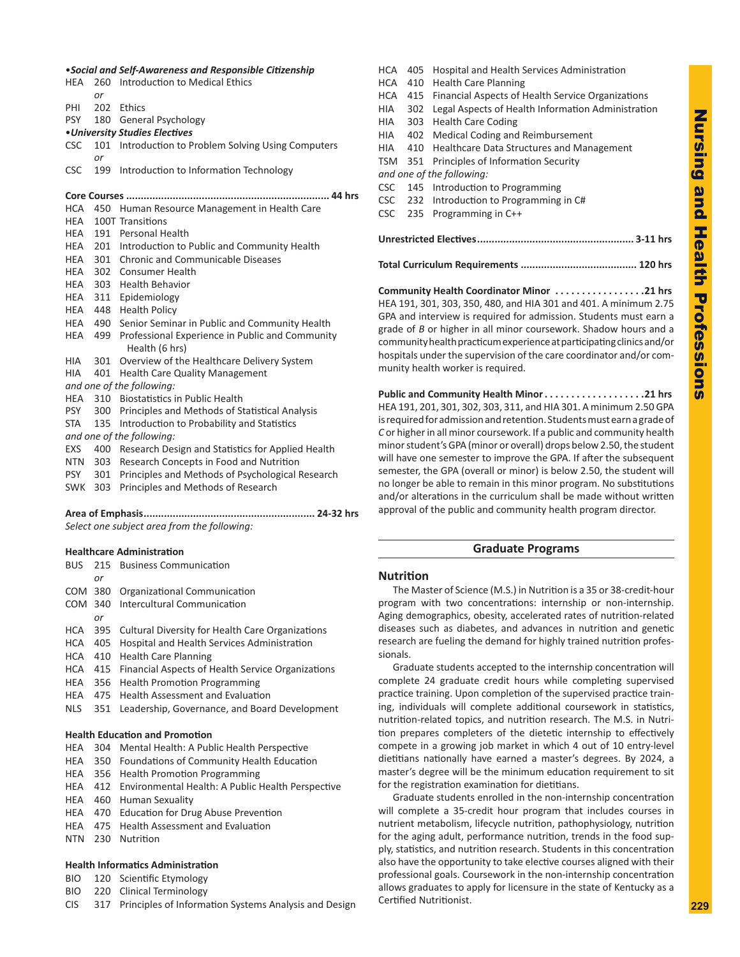# <span id="page-6-0"></span>•*Social and Self-Awareness and Responsible Citizenship*

| HEA        | 260<br>or | Introduction to Medical Ethics                                        |
|------------|-----------|-----------------------------------------------------------------------|
| PHI        |           | 202 Ethics                                                            |
| <b>PSY</b> |           | 180 General Psychology                                                |
|            |           | • University Studies Electives                                        |
| <b>CSC</b> | 101       | Introduction to Problem Solving Using Computers                       |
|            | or        |                                                                       |
| <b>CSC</b> | 199       | Introduction to Information Technology                                |
|            |           | ……. 44 hrs                                                            |
| HCA        |           | 450 Human Resource Management in Health Care                          |
| HEA        |           | 100T Transitions                                                      |
| HEA        |           | 191 Personal Health                                                   |
| HEA        |           | 201 Introduction to Public and Community Health                       |
| HEA        |           | 301 Chronic and Communicable Diseases                                 |
| HEA        |           | 302 Consumer Health                                                   |
| HEA        |           | 303 Health Behavior                                                   |
| HEA        |           | 311 Epidemiology                                                      |
| HEA        |           | 448 Health Policy                                                     |
|            | HEA 490   | Senior Seminar in Public and Community Health                         |
| HEA        |           | 499 Professional Experience in Public and Community<br>Health (6 hrs) |
| <b>HIA</b> | 301       | Overview of the Healthcare Delivery System                            |
| <b>HIA</b> | 401       | <b>Health Care Quality Management</b>                                 |
|            |           | and one of the following:                                             |
| HEA        | 310       | <b>Biostatistics in Public Health</b>                                 |
| <b>PSY</b> | 300       | Principles and Methods of Statistical Analysis                        |
| <b>STA</b> | 135       | Introduction to Probability and Statistics                            |
|            |           | and one of the following:                                             |
| <b>EXS</b> | 400       | Research Design and Statistics for Applied Health                     |
| NTN        | 303       | Research Concepts in Food and Nutrition                               |
| <b>PSY</b> | 301       | Principles and Methods of Psychological Research                      |
| SWK        | 303       | Principles and Methods of Research                                    |
|            |           |                                                                       |

*Select one subject area from the following:* 

# **Healthcare Administration**

|     |    | <b>BUS</b> 215 Business Communication                    |
|-----|----|----------------------------------------------------------|
|     | or |                                                          |
|     |    | COM 380 Organizational Communication                     |
|     |    | COM 340 Intercultural Communication                      |
|     | or |                                                          |
|     |    | HCA 395 Cultural Diversity for Health Care Organizations |
|     |    | HCA 405 Hospital and Health Services Administration      |
|     |    | HCA 410 Health Care Planning                             |
| HCA |    | 415 Financial Aspects of Health Service Organizations    |
| HEA |    | 356 Health Promotion Programming                         |
| HEA |    | 475 Health Assessment and Evaluation                     |
| NLS |    | 351 Leadership, Governance, and Board Development        |

# **Health Education and Promotion**

- HEA 304 Mental Health: A Public Health Perspective
- HEA 350 Foundations of Community Health Education
- HEA 356 Health Promotion Programming
- HEA 412 Environmental Health: A Public Health Perspective
- HEA 460 Human Sexuality
- HEA 470 Education for Drug Abuse Prevention
- HEA 475 Health Assessment and Evaluation
- NTN 230 Nutrition

# **Health Informatics Administration**

- BIO 120 Scientific Etymology
- BIO 220 Clinical Terminology
- CIS 317 Principles of Information Systems Analysis and Design

HCA 405 Hospital and Health Services Administration HCA 410 Health Care Planning HCA 415 Financial Aspects of Health Service Organizations HIA 302 Legal Aspects of Health Information Administration HIA 303 Health Care Coding HIA 402 Medical Coding and Reimbursement HIA 410 Healthcare Data Structures and Management TSM 351 Principles of Information Security *and one of the following:* CSC 145 Introduction to Programming CSC 232 Introduction to Programming in C# CSC 235 Programming in C++ **Unrestricted Electives...................................................... 3-11 hrs Total Curriculum Requirements ........................................ 120 hrs**

**Community Health Coordinator Minor. 21 hrs** HEA 191, 301, 303, 350, 480, and HIA 301 and 401. A minimum 2.75 GPA and interview is required for admission. Students must earn a grade of *B* or higher in all minor coursework. Shadow hours and a community health practicum experience at participating clinics and/or hospitals under the supervision of the care coordinator and/or community health worker is required.

**Public and Community Health Minor. 21 hrs** HEA 191, 201, 301, 302, 303, 311, and HIA 301. A minimum 2.50 GPA is required for admission and retention. Students must earn a grade of *C* or higher in all minor coursework. If a public and community health minor student's GPA (minor or overall) drops below 2.50, the student will have one semester to improve the GPA. If after the subsequent semester, the GPA (overall or minor) is below 2.50, the student will no longer be able to remain in this minor program. No substitutions and/or alterations in the curriculum shall be made without written approval of the public and community health program director.

# **Graduate Programs**

# **Nutrition**

The Master of Science (M.S.) in Nutrition is a 35 or 38-credit-hour program with two concentrations: internship or non-internship. Aging demographics, obesity, accelerated rates of nutrition-related diseases such as diabetes, and advances in nutrition and genetic research are fueling the demand for highly trained nutrition professionals.

Graduate students accepted to the internship concentration will complete 24 graduate credit hours while completing supervised practice training. Upon completion of the supervised practice training, individuals will complete additional coursework in statistics, nutrition-related topics, and nutrition research. The M.S. in Nutrition prepares completers of the dietetic internship to effectively compete in a growing job market in which 4 out of 10 entry-level dietitians nationally have earned a master's degrees. By 2024, a master's degree will be the minimum education requirement to sit for the registration examination for dietitians.

Graduate students enrolled in the non-internship concentration will complete a 35-credit hour program that includes courses in nutrient metabolism, lifecycle nutrition, pathophysiology, nutrition for the aging adult, performance nutrition, trends in the food supply, statistics, and nutrition research. Students in this concentration also have the opportunity to take elective courses aligned with their professional goals. Coursework in the non-internship concentration allows graduates to apply for licensure in the state of Kentucky as a Certified Nutritionist.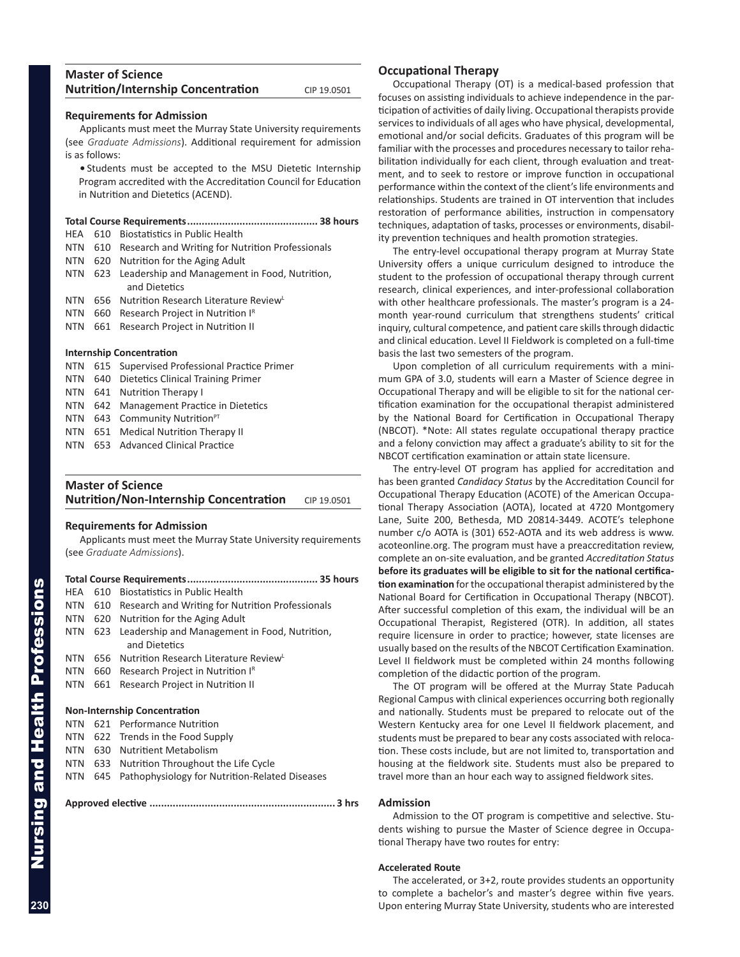<span id="page-7-0"></span>

| <b>Master of Science</b>                  |             |
|-------------------------------------------|-------------|
| <b>Nutrition/Internship Concentration</b> | CIP 19.0501 |

#### **Requirements for Admission**

Applicants must meet the Murray State University requirements (see *Graduate Admissions*). Additional requirement for admission is as follows:

**•** Students must be accepted to the MSU Dietetic Internship Program accredited with the Accreditation Council for Education in Nutrition and Dietetics (ACEND).

#### **Total Course Requirements............................................. 38 hours**

| HEA 610 Biostatistics in Public Health |
|----------------------------------------|
|----------------------------------------|

- NTN 610 Research and Writing for Nutrition Professionals
- NTN 620 Nutrition for the Aging Adult
- NTN 623 Leadership and Management in Food, Nutrition, and Dietetics
- NTN 656 Nutrition Research Literature ReviewL
- NTN 660 Research Project in Nutrition IR
- NTN 661 Research Project in Nutrition II

#### **Internship Concentration**

|  | NTN 615 Supervised Professional Practice Primer |
|--|-------------------------------------------------|
|  | NTN 640 Dietetics Clinical Training Primer      |
|  | NTN 641 Nutrition Therapy I                     |
|  | NTN 642 Management Practice in Dietetics        |
|  | NTN $643$ Community Nutrition <sup>PT</sup>     |
|  | NTN 651 Medical Nutrition Therapy II            |
|  |                                                 |

NTN 653 Advanced Clinical Practice

# **Master of Science Nutrition/Non-Internship Concentration** CIP 19.0501

#### **Requirements for Admission**

Applicants must meet the Murray State University requirements (see *Graduate Admissions*).

| HEA                                 | 610 | <b>Biostatistics in Public Health</b>                          |  |  |  |
|-------------------------------------|-----|----------------------------------------------------------------|--|--|--|
| NTN                                 | 610 | Research and Writing for Nutrition Professionals               |  |  |  |
| NTN                                 |     | 620 Nutrition for the Aging Adult                              |  |  |  |
| NTN                                 | 623 | Leadership and Management in Food, Nutrition,<br>and Dietetics |  |  |  |
| NTN                                 | 656 | Nutrition Research Literature Review                           |  |  |  |
| NTN.                                | 660 | Research Project in Nutrition I <sup>R</sup>                   |  |  |  |
| NTN                                 | 661 | Research Project in Nutrition II                               |  |  |  |
| <b>Non-Internship Concentration</b> |     |                                                                |  |  |  |
| NTN                                 | 621 | Performance Nutrition                                          |  |  |  |
| NTN                                 |     | 622 Trends in the Food Supply                                  |  |  |  |
| NTN                                 | 630 | <b>Nutritient Metabolism</b>                                   |  |  |  |
| NTN                                 | 633 | Nutrition Throughout the Life Cycle                            |  |  |  |
|                                     |     |                                                                |  |  |  |

NTN 645 Pathophysiology for Nutrition-Related Diseases

**Approved elective ................................................................ 3 hrs**

#### **Occupational Therapy**

Occupational Therapy (OT) is a medical-based profession that focuses on assisting individuals to achieve independence in the participation of activities of daily living. Occupational therapists provide services to individuals of all ages who have physical, developmental, emotional and/or social deficits. Graduates of this program will be familiar with the processes and procedures necessary to tailor rehabilitation individually for each client, through evaluation and treatment, and to seek to restore or improve function in occupational performance within the context of the client's life environments and relationships. Students are trained in OT intervention that includes restoration of performance abilities, instruction in compensatory techniques, adaptation of tasks, processes or environments, disability prevention techniques and health promotion strategies.

The entry-level occupational therapy program at Murray State University offers a unique curriculum designed to introduce the student to the profession of occupational therapy through current research, clinical experiences, and inter-professional collaboration with other healthcare professionals. The master's program is a 24 month year-round curriculum that strengthens students' critical inquiry, cultural competence, and patient care skills through didactic and clinical education. Level II Fieldwork is completed on a full-time basis the last two semesters of the program.

Upon completion of all curriculum requirements with a minimum GPA of 3.0, students will earn a Master of Science degree in Occupational Therapy and will be eligible to sit for the national certification examination for the occupational therapist administered by the National Board for Certification in Occupational Therapy (NBCOT). \*Note: All states regulate occupational therapy practice and a felony conviction may affect a graduate's ability to sit for the NBCOT certification examination or attain state licensure.

The entry-level OT program has applied for accreditation and has been granted *Candidacy Status* by the Accreditation Council for Occupational Therapy Education (ACOTE) of the American Occupational Therapy Association (AOTA), located at 4720 Montgomery Lane, Suite 200, Bethesda, MD 20814-3449. ACOTE's telephone number c/o AOTA is (301) 652-AOTA and its web address is www. acoteonline.org. The program must have a preaccreditation review, complete an on-site evaluation, and be granted *Accreditation Status* **before its graduates will be eligible to sit for the national certification examination** for the occupational therapist administered by the National Board for Certification in Occupational Therapy (NBCOT). After successful completion of this exam, the individual will be an Occupational Therapist, Registered (OTR). In addition, all states require licensure in order to practice; however, state licenses are usually based on the results of the NBCOT Certification Examination. Level II fieldwork must be completed within 24 months following completion of the didactic portion of the program.

The OT program will be offered at the Murray State Paducah Regional Campus with clinical experiences occurring both regionally and nationally. Students must be prepared to relocate out of the Western Kentucky area for one Level II fieldwork placement, and students must be prepared to bear any costs associated with relocation. These costs include, but are not limited to, transportation and housing at the fieldwork site. Students must also be prepared to travel more than an hour each way to assigned fieldwork sites.

#### **Admission**

Admission to the OT program is competitive and selective. Students wishing to pursue the Master of Science degree in Occupational Therapy have two routes for entry:

#### **Accelerated Route**

The accelerated, or 3+2, route provides students an opportunity to complete a bachelor's and master's degree within five years. Upon entering Murray State University, students who are interested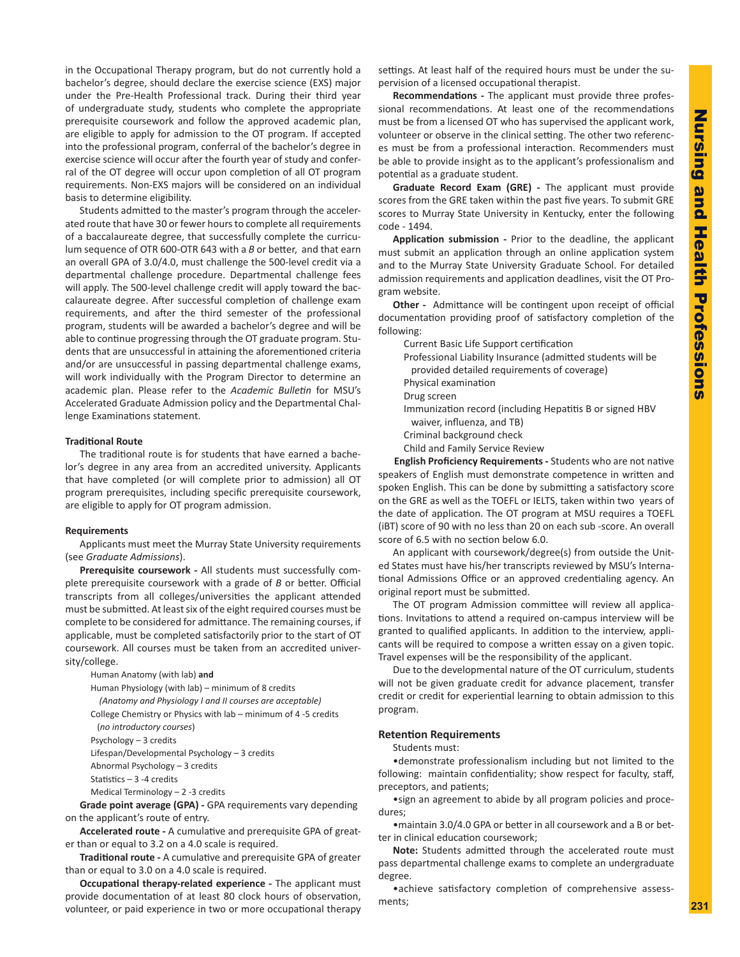in the Occupational Therapy program, but do not currently hold a bachelor's degree, should declare the exercise science (EXS) major under the Pre-Health Professional track. During their third year of undergraduate study, students who complete the appropriate prerequisite coursework and follow the approved academic plan, are eligible to apply for admission to the OT program. If accepted into the professional program, conferral of the bachelor's degree in exercise science will occur after the fourth year of study and conferral of the OT degree will occur upon completion of all OT program requirements. Non-EXS majors will be considered on an individual basis to determine eligibility.

Students admitted to the master's program through the accelerated route that have 30 or fewer hours to complete all requirements of a baccalaureate degree, that successfully complete the curriculum sequence of OTR 600-OTR 643 with a *B* or better, and that earn an overall GPA of 3.0/4.0, must challenge the 500-level credit via a departmental challenge procedure. Departmental challenge fees will apply. The 500-level challenge credit will apply toward the baccalaureate degree. After successful completion of challenge exam requirements, and after the third semester of the professional program, students will be awarded a bachelor's degree and will be able to continue progressing through the OT graduate program. Students that are unsuccessful in attaining the aforementioned criteria and/or are unsuccessful in passing departmental challenge exams, will work individually with the Program Director to determine an academic plan. Please refer to the *Academic Bulletin* for MSU's Accelerated Graduate Admission policy and the Departmental Challenge Examinations statement.

#### **Traditional Route**

The traditional route is for students that have earned a bachelor's degree in any area from an accredited university. Applicants that have completed (or will complete prior to admission) all OT program prerequisites, including specific prerequisite coursework, are eligible to apply for OT program admission.

#### **Requirements**

Applicants must meet the Murray State University requirements (see *Graduate Admissions*).

**Prerequisite coursework -** All students must successfully complete prerequisite coursework with a grade of *B* or better. Official transcripts from all colleges/universities the applicant attended must be submitted. At least six of the eight required courses must be complete to be considered for admittance. The remaining courses, if applicable, must be completed satisfactorily prior to the start of OT coursework. All courses must be taken from an accredited university/college.

Human Anatomy (with lab) **and**

Human Physiology (with lab) – minimum of 8 credits

*(Anatomy and Physiology I and II courses are acceptable)*

College Chemistry or Physics with lab – minimum of 4 -5 credits

(*no introductory courses*)

Psychology – 3 credits

Lifespan/Developmental Psychology – 3 credits

Abnormal Psychology – 3 credits

Statistics – 3 -4 credits

Medical Terminology – 2 -3 credits

**Grade point average (GPA) -** GPA requirements vary depending on the applicant's route of entry.

**Accelerated route -** A cumulative and prerequisite GPA of greater than or equal to 3.2 on a 4.0 scale is required.

**Traditional route -** A cumulative and prerequisite GPA of greater than or equal to 3.0 on a 4.0 scale is required.

**Occupational therapy-related experience -** The applicant must provide documentation of at least 80 clock hours of observation, volunteer, or paid experience in two or more occupational therapy settings. At least half of the required hours must be under the supervision of a licensed occupational therapist.

**Recommendations -** The applicant must provide three professional recommendations. At least one of the recommendations must be from a licensed OT who has supervised the applicant work, volunteer or observe in the clinical setting. The other two references must be from a professional interaction. Recommenders must be able to provide insight as to the applicant's professionalism and potential as a graduate student.

**Graduate Record Exam (GRE) -** The applicant must provide scores from the GRE taken within the past five years. To submit GRE scores to Murray State University in Kentucky, enter the following code - 1494.

**Application submission -** Prior to the deadline, the applicant must submit an application through an online application system and to the Murray State University Graduate School. For detailed admission requirements and application deadlines, visit the OT Program website.

**Other -** Admittance will be contingent upon receipt of official documentation providing proof of satisfactory completion of the following:

Current Basic Life Support certification

Professional Liability Insurance (admitted students will be provided detailed requirements of coverage) Physical examination

Drug screen

- Immunization record (including Hepatitis B or signed HBV waiver, influenza, and TB) Criminal background check
- Child and Family Service Review

**English Proficiency Requirements -** Students who are not native speakers of English must demonstrate competence in written and spoken English. This can be done by submitting a satisfactory score on the GRE as well as the TOEFL or IELTS, taken within two years of the date of application. The OT program at MSU requires a TOEFL (iBT) score of 90 with no less than 20 on each sub -score. An overall score of 6.5 with no section below 6.0.

An applicant with coursework/degree(s) from outside the United States must have his/her transcripts reviewed by MSU's International Admissions Office or an approved credentialing agency. An original report must be submitted.

The OT program Admission committee will review all applications. Invitations to attend a required on-campus interview will be granted to qualified applicants. In addition to the interview, applicants will be required to compose a written essay on a given topic. Travel expenses will be the responsibility of the applicant.

Due to the developmental nature of the OT curriculum, students will not be given graduate credit for advance placement, transfer credit or credit for experiential learning to obtain admission to this program.

#### **Retention Requirements**

Students must:

•demonstrate professionalism including but not limited to the following: maintain confidentiality; show respect for faculty, staff, preceptors, and patients;

•sign an agreement to abide by all program policies and procedures;

•maintain 3.0/4.0 GPA or better in all coursework and a B or better in clinical education coursework;

**Note:** Students admitted through the accelerated route must pass departmental challenge exams to complete an undergraduate degree.

•achieve satisfactory completion of comprehensive assessments;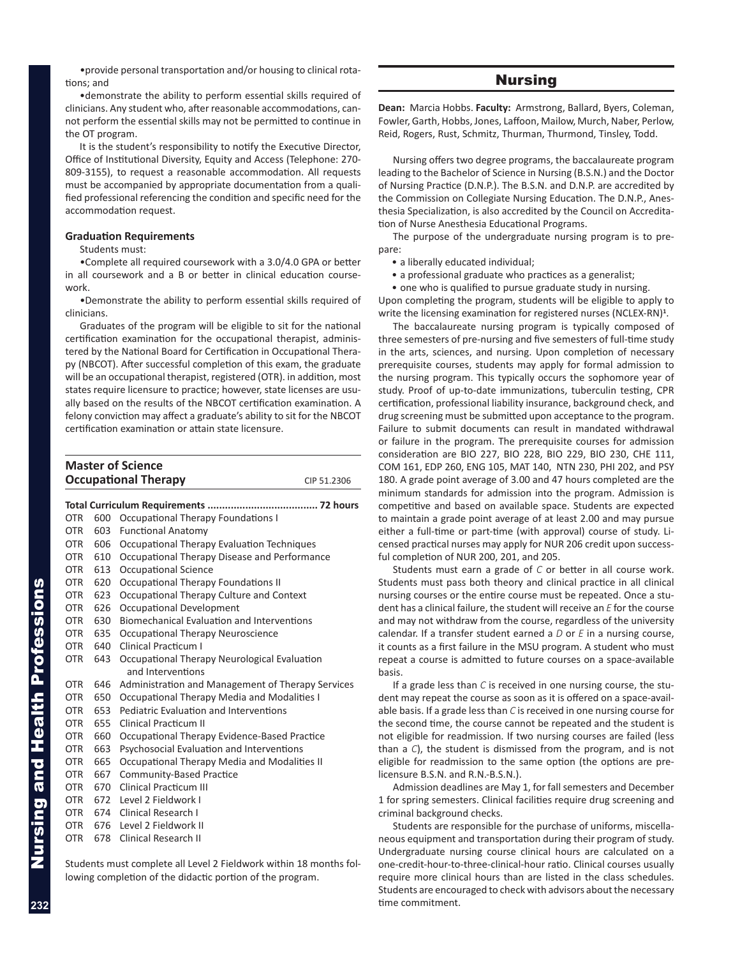<span id="page-9-0"></span>•provide personal transportation and/or housing to clinical rotations; and

•demonstrate the ability to perform essential skills required of clinicians. Any student who, after reasonable accommodations, cannot perform the essential skills may not be permitted to continue in the OT program.

It is the student's responsibility to notify the Executive Director, Office of Institutional Diversity, Equity and Access (Telephone: 270- 809-3155), to request a reasonable accommodation. All requests must be accompanied by appropriate documentation from a qualified professional referencing the condition and specific need for the accommodation request.

#### **Graduation Requirements**

Students must:

•Complete all required coursework with a 3.0/4.0 GPA or better in all coursework and a B or better in clinical education coursework.

•Demonstrate the ability to perform essential skills required of clinicians.

Graduates of the program will be eligible to sit for the national certification examination for the occupational therapist, administered by the National Board for Certification in Occupational Therapy (NBCOT). After successful completion of this exam, the graduate will be an occupational therapist, registered (OTR). in addition, most states require licensure to practice; however, state licenses are usually based on the results of the NBCOT certification examination. A felony conviction may affect a graduate's ability to sit for the NBCOT certification examination or attain state licensure.

| <b>Master of Science</b>    |             |
|-----------------------------|-------------|
| <b>Occupational Therapy</b> | CIP 51.2306 |
|                             |             |

| OTR        | 600 | Occupational Therapy Foundations I                |
|------------|-----|---------------------------------------------------|
| <b>OTR</b> | 603 | <b>Functional Anatomy</b>                         |
| <b>OTR</b> | 606 | Occupational Therapy Evaluation Techniques        |
| <b>OTR</b> | 610 | Occupational Therapy Disease and Performance      |
| <b>OTR</b> | 613 | <b>Occupational Science</b>                       |
| OTR.       | 620 | Occupational Therapy Foundations II               |
| <b>OTR</b> | 623 | Occupational Therapy Culture and Context          |
| OTR.       | 626 | Occupational Development                          |
| OTR.       | 630 | Biomechanical Evaluation and Interventions        |
| <b>OTR</b> | 635 | Occupational Therapy Neuroscience                 |
| <b>OTR</b> | 640 | <b>Clinical Practicum I</b>                       |
| <b>OTR</b> | 643 | Occupational Therapy Neurological Evaluation      |
|            |     | and Interventions                                 |
| <b>OTR</b> | 646 | Administration and Management of Therapy Services |
| <b>OTR</b> | 650 | Occupational Therapy Media and Modalities I       |
| <b>OTR</b> | 653 | Pediatric Evaluation and Interventions            |
| <b>OTR</b> | 655 | Clinical Practicum II                             |
| <b>OTR</b> | 660 | Occupational Therapy Evidence-Based Practice      |
| <b>OTR</b> | 663 | Psychosocial Evaluation and Interventions         |
| <b>OTR</b> | 665 | Occupational Therapy Media and Modalities II      |
| <b>OTR</b> | 667 | Community-Based Practice                          |
| <b>OTR</b> | 670 | Clinical Practicum III                            |
| <b>OTR</b> | 672 | Level 2 Fieldwork I                               |
| OTR.       | 674 | Clinical Research I                               |
| <b>OTR</b> | 676 | Level 2 Fieldwork II                              |
| <b>OTR</b> | 678 | Clinical Research II                              |
|            |     |                                                   |

Students must complete all Level 2 Fieldwork within 18 months following completion of the didactic portion of the program.

# Nursing

**Dean:** Marcia Hobbs. **Faculty:** Armstrong, Ballard, Byers, Coleman, Fowler, Garth, Hobbs, Jones, Laffoon, Mailow, Murch, Naber, Perlow, Reid, Rogers, Rust, Schmitz, Thurman, Thurmond, Tinsley, Todd.

Nursing offers two degree programs, the baccalaureate program leading to the Bachelor of Science in Nursing (B.S.N.) and the Doctor of Nursing Practice (D.N.P.). The B.S.N. and D.N.P. are accredited by the Commission on Collegiate Nursing Education. The D.N.P., Anesthesia Specialization, is also accredited by the Council on Accreditation of Nurse Anesthesia Educational Programs.

The purpose of the undergraduate nursing program is to prepare:

- a liberally educated individual;
- a professional graduate who practices as a generalist;

• one who is qualified to pursue graduate study in nursing. Upon completing the program, students will be eligible to apply to write the licensing examination for registered nurses (NCLEX-RN)**<sup>1</sup>** .

The baccalaureate nursing program is typically composed of three semesters of pre-nursing and five semesters of full-time study in the arts, sciences, and nursing. Upon completion of necessary prerequisite courses, students may apply for formal admission to the nursing program. This typically occurs the sophomore year of study. Proof of up-to-date immunizations, tuberculin testing, CPR certification, professional liability insurance, background check, and drug screening must be submitted upon acceptance to the program. Failure to submit documents can result in mandated withdrawal or failure in the program. The prerequisite courses for admission consideration are BIO 227, BIO 228, BIO 229, BIO 230, CHE 111, COM 161, EDP 260, ENG 105, MAT 140, NTN 230, PHI 202, and PSY 180. A grade point average of 3.00 and 47 hours completed are the minimum standards for admission into the program. Admission is competitive and based on available space. Students are expected to maintain a grade point average of at least 2.00 and may pursue either a full-time or part-time (with approval) course of study. Licensed practical nurses may apply for NUR 206 credit upon successful completion of NUR 200, 201, and 205.

Students must earn a grade of *C* or better in all course work. Students must pass both theory and clinical practice in all clinical nursing courses or the entire course must be repeated. Once a student has a clinical failure, the student will receive an *E* for the course and may not withdraw from the course, regardless of the university calendar. If a transfer student earned a *D* or *E* in a nursing course, it counts as a first failure in the MSU program. A student who must repeat a course is admitted to future courses on a space-available basis.

If a grade less than *C* is received in one nursing course, the student may repeat the course as soon as it is offered on a space-available basis. If a grade less than *C* is received in one nursing course for the second time, the course cannot be repeated and the student is not eligible for readmission. If two nursing courses are failed (less than a *C*), the student is dismissed from the program, and is not eligible for readmission to the same option (the options are prelicensure B.S.N. and R.N.-B.S.N.).

Admission deadlines are May 1, for fall semesters and December 1 for spring semesters. Clinical facilities require drug screening and criminal background checks.

Students are responsible for the purchase of uniforms, miscellaneous equipment and transportation during their program of study. Undergraduate nursing course clinical hours are calculated on a one-credit-hour-to-three-clinical-hour ratio. Clinical courses usually require more clinical hours than are listed in the class schedules. Students are encouraged to check with advisors about the necessary time commitment.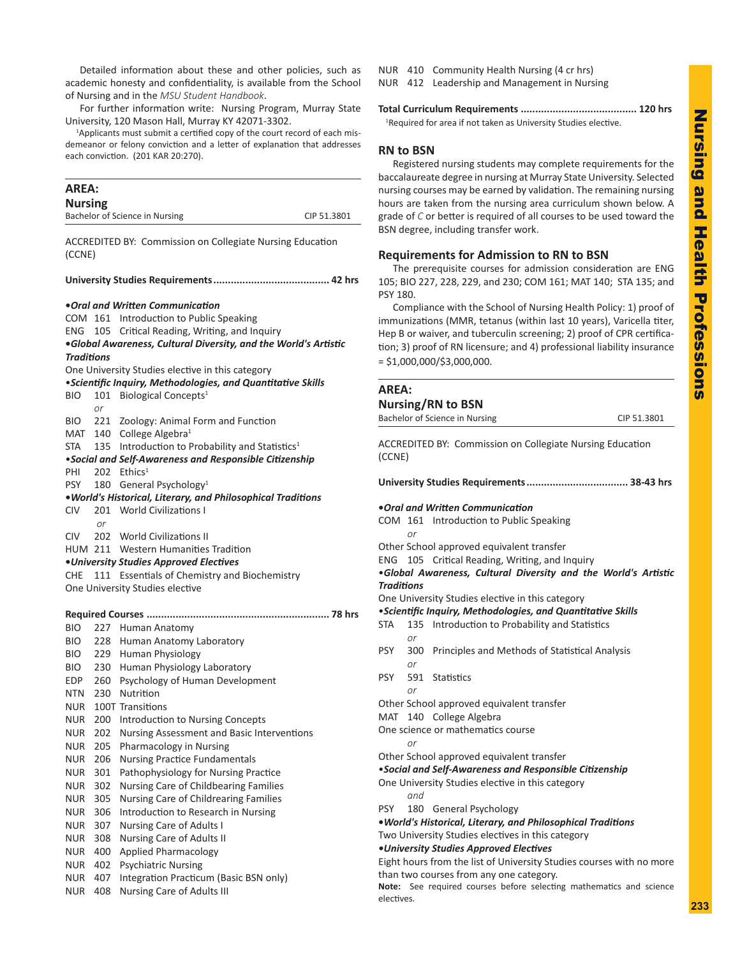<span id="page-10-0"></span>Detailed information about these and other policies, such as academic honesty and confidentiality, is available from the School of Nursing and in the *MSU Student Handbook*.

For further information write: Nursing Program, Murray State University, 120 Mason Hall, Murray KY 42071-3302.

<sup>1</sup>Applicants must submit a certified copy of the court record of each misdemeanor or felony conviction and a letter of explanation that addresses each conviction. (201 KAR 20:270).

# **AREA: Nursing**  Bachelor of Science in Nursing CIP 51.3801 ACCREDITED BY: Commission on Collegiate Nursing Education (CCNE) **University Studies Requirements........................................ 42 hrs •***Oral and Written Communication* COM 161 Introduction to Public Speaking ENG 105 Critical Reading, Writing, and Inquiry **•***Global Awareness, Cultural Diversity, and the World's Artistic Traditions* One University Studies elective in this category •*Scientific Inquiry, Methodologies, and Quantitative Skills* BIO 101 Biological Concepts<sup>1</sup> *or* BIO 221 Zoology: Animal Form and Function MAT 140 College Algebra<sup>1</sup> STA  $135$  Introduction to Probability and Statistics<sup>1</sup> •*Social and Self-Awareness and Responsible Citizenship* PHI 202 Ethics<sup>1</sup> PSY 180 General Psychology<sup>1</sup> **•***World's Historical, Literary, and Philosophical Traditions* CIV 201 World Civilizations I *or* CIV 202 World Civilizations II HUM 211 Western Humanities Tradition **•***University Studies Approved Electives* CHE 111 Essentials of Chemistry and Biochemistry One University Studies elective **Required Courses ............................................................... 78 hrs** BIO 227 Human Anatomy BIO 228 Human Anatomy Laboratory BIO 229 Human Physiology BIO 230 Human Physiology Laboratory EDP 260 Psychology of Human Development NTN 230 Nutrition NUR 100T Transitions NUR 200 Introduction to Nursing Concepts NUR 202 Nursing Assessment and Basic Interventions NUR 205 Pharmacology in Nursing NUR 206 Nursing Practice Fundamentals NUR 301 Pathophysiology for Nursing Practice NUR 302 Nursing Care of Childbearing Families NUR 305 Nursing Care of Childrearing Families NUR 306 Introduction to Research in Nursing NUR 307 Nursing Care of Adults I

- NUR 308 Nursing Care of Adults II
- NUR 400 Applied Pharmacology
- NUR 402 Psychiatric Nursing
- NUR 407 Integration Practicum (Basic BSN only)
- NUR 408 Nursing Care of Adults III

NUR 410 Community Health Nursing (4 cr hrs)

NUR 412 Leadership and Management in Nursing

**Total Curriculum Requirements ........................................ 120 hrs**

<sup>1</sup>Required for area if not taken as University Studies elective.

# **RN to BSN**

Registered nursing students may complete requirements for the baccalaureate degree in nursing at Murray State University. Selected nursing courses may be earned by validation. The remaining nursing hours are taken from the nursing area curriculum shown below. A grade of *C* or better is required of all courses to be used toward the BSN degree, including transfer work.

# **Requirements for Admission to RN to BSN**

The prerequisite courses for admission consideration are ENG 105; BIO 227, 228, 229, and 230; COM 161; MAT 140; STA 135; and PSY 180.

Compliance with the School of Nursing Health Policy: 1) proof of immunizations (MMR, tetanus (within last 10 years), Varicella titer, Hep B or waiver, and tuberculin screening; 2) proof of CPR certification; 3) proof of RN licensure; and 4) professional liability insurance  $=$  \$1,000,000/\$3,000,000.

# **AREA: Nursing/RN to BSN** Bachelor of Science in Nursing CIP 51.3801 ACCREDITED BY: Commission on Collegiate Nursing Education (CCNE) **University Studies Requirements................................... 38-43 hrs •***Oral and Written Communication* COM 161 Introduction to Public Speaking *or* Other School approved equivalent transfer ENG 105 Critical Reading, Writing, and Inquiry •*Global Awareness, Cultural Diversity and the World's Artistic Traditions* One University Studies elective in this category •*Scientific Inquiry, Methodologies, and Quantitative Skills* STA 135 Introduction to Probability and Statistics *or* PSY 300 Principles and Methods of Statistical Analysis *or* PSY 591 Statistics *or* Other School approved equivalent transfer MAT 140 College Algebra One science or mathematics course *or* Other School approved equivalent transfer •*Social and Self-Awareness and Responsible Citizenship* One University Studies elective in this category *and* PSY 180 General Psychology **•***World's Historical, Literary, and Philosophical Traditions* Two University Studies electives in this category *•University Studies Approved Electives* Eight hours from the list of University Studies courses with no more

than two courses from any one category.

**Note:** See required courses before selecting mathematics and science electives.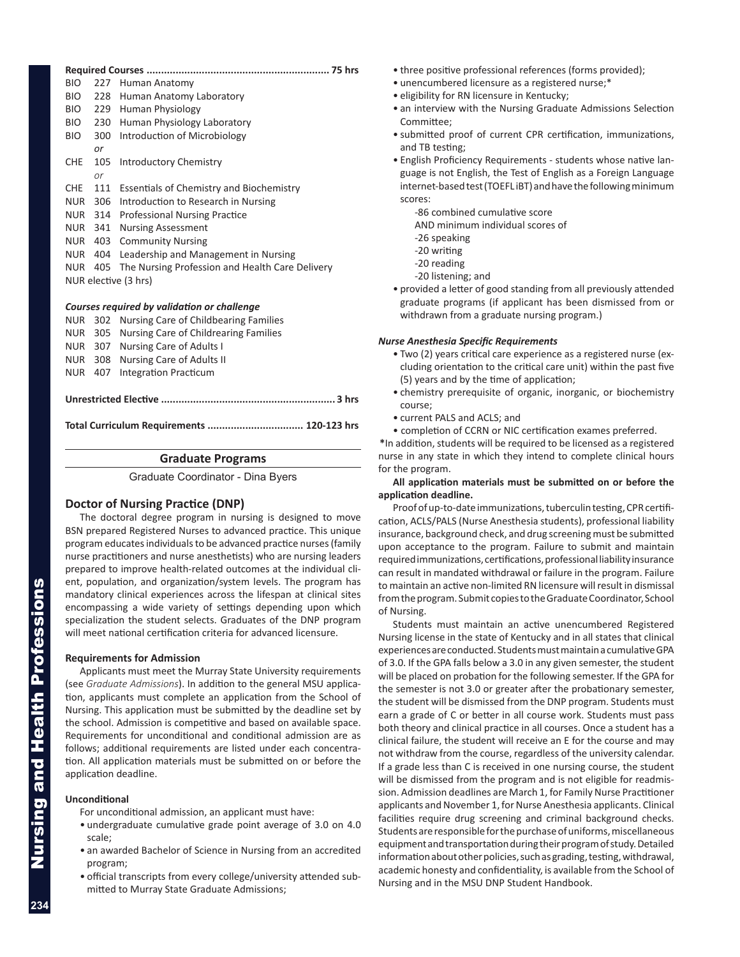<span id="page-11-0"></span>

| BIO.<br>227                                 | Human Anatomy                                   |  |  |  |
|---------------------------------------------|-------------------------------------------------|--|--|--|
| BIO.<br>228                                 | Human Anatomy Laboratory                        |  |  |  |
| 229<br>BIO.                                 | Human Physiology                                |  |  |  |
| BIO.<br>230                                 | Human Physiology Laboratory                     |  |  |  |
| BIO.<br>300                                 | Introduction of Microbiology                    |  |  |  |
| or                                          |                                                 |  |  |  |
| 105<br><b>CHE</b>                           | Introductory Chemistry                          |  |  |  |
| or                                          |                                                 |  |  |  |
| <b>CHE</b><br>111                           | <b>Essentials of Chemistry and Biochemistry</b> |  |  |  |
| 306<br><b>NUR</b>                           | Introduction to Research in Nursing             |  |  |  |
| NUR<br>314                                  | <b>Professional Nursing Practice</b>            |  |  |  |
| NUR<br>341                                  | <b>Nursing Assessment</b>                       |  |  |  |
| 403<br>NUR                                  | <b>Community Nursing</b>                        |  |  |  |
| NUR 404                                     | Leadership and Management in Nursing            |  |  |  |
| NUR 405                                     | The Nursing Profession and Health Care Delivery |  |  |  |
|                                             | NUR elective (3 hrs)                            |  |  |  |
|                                             |                                                 |  |  |  |
| Courses required by validation or shallonge |                                                 |  |  |  |

#### *Courses required by validation or challenge*

|  | NUR 407 Integration Practicum                 |  |  |
|--|-----------------------------------------------|--|--|
|  | NUR 308 Nursing Care of Adults II             |  |  |
|  | NUR 307 Nursing Care of Adults I              |  |  |
|  | NUR 305 Nursing Care of Childrearing Families |  |  |
|  | NUR 302 Nursing Care of Childbearing Families |  |  |

**Total Curriculum Requirements ................................. 120-123 hrs**

#### **Graduate Programs**

Graduate Coordinator - Dina Byers

# **Doctor of Nursing Practice (DNP)**

The doctoral degree program in nursing is designed to move BSN prepared Registered Nurses to advanced practice. This unique program educates individuals to be advanced practice nurses (family nurse practitioners and nurse anesthetists) who are nursing leaders prepared to improve health-related outcomes at the individual client, population, and organization/system levels. The program has mandatory clinical experiences across the lifespan at clinical sites encompassing a wide variety of settings depending upon which specialization the student selects. Graduates of the DNP program will meet national certification criteria for advanced licensure.

#### **Requirements for Admission**

Applicants must meet the Murray State University requirements (see *Graduate Admissions*). In addition to the general MSU application, applicants must complete an application from the School of Nursing. This application must be submitted by the deadline set by the school. Admission is competitive and based on available space. Requirements for unconditional and conditional admission are as follows; additional requirements are listed under each concentration. All application materials must be submitted on or before the application deadline.

#### **Unconditional**

- For unconditional admission, an applicant must have:
- undergraduate cumulative grade point average of 3.0 on 4.0 scale;
- an awarded Bachelor of Science in Nursing from an accredited program;
- official transcripts from every college/university attended submitted to Murray State Graduate Admissions;
- three positive professional references (forms provided);
- unencumbered licensure as a registered nurse;\*
- eligibility for RN licensure in Kentucky;
- an interview with the Nursing Graduate Admissions Selection Committee;
- submitted proof of current CPR certification, immunizations, and TB testing;
- English Proficiency Requirements students whose native language is not English, the Test of English as a Foreign Language internet-based test (TOEFL iBT) and have the following minimum scores:
	- -86 combined cumulative score
	- AND minimum individual scores of
	- -26 speaking
	- -20 writing
	- -20 reading
	- -20 listening; and
- provided a letter of good standing from all previously attended graduate programs (if applicant has been dismissed from or withdrawn from a graduate nursing program.)

#### *Nurse Anesthesia Specific Requirements*

- Two (2) years critical care experience as a registered nurse (excluding orientation to the critical care unit) within the past five (5) years and by the time of application;
- chemistry prerequisite of organic, inorganic, or biochemistry course;
- current PALS and ACLS; and
- completion of CCRN or NIC certification exames preferred.

**\***In addition, students will be required to be licensed as a registered nurse in any state in which they intend to complete clinical hours for the program.

#### **All application materials must be submitted on or before the application deadline.**

Proof of up-to-date immunizations, tuberculin testing, CPR certification, ACLS/PALS (Nurse Anesthesia students), professional liability insurance, background check, and drug screening must be submitted upon acceptance to the program. Failure to submit and maintain required immunizations, certifications, professional liability insurance can result in mandated withdrawal or failure in the program. Failure to maintain an active non-limited RN licensure will result in dismissal from the program. Submit copies to the Graduate Coordinator, School of Nursing.

Students must maintain an active unencumbered Registered Nursing license in the state of Kentucky and in all states that clinical experiences are conducted. Students must maintain a cumulative GPA of 3.0. If the GPA falls below a 3.0 in any given semester, the student will be placed on probation for the following semester. If the GPA for the semester is not 3.0 or greater after the probationary semester, the student will be dismissed from the DNP program. Students must earn a grade of C or better in all course work. Students must pass both theory and clinical practice in all courses. Once a student has a clinical failure, the student will receive an E for the course and may not withdraw from the course, regardless of the university calendar. If a grade less than C is received in one nursing course, the student will be dismissed from the program and is not eligible for readmission. Admission deadlines are March 1, for Family Nurse Practitioner applicants and November 1, for Nurse Anesthesia applicants. Clinical facilities require drug screening and criminal background checks. Students are responsible for the purchase of uniforms, miscellaneous equipment and transportation during their program of study. Detailed information about other policies, such as grading, testing, withdrawal, academic honesty and confidentiality, is available from the School of Nursing and in the MSU DNP Student Handbook.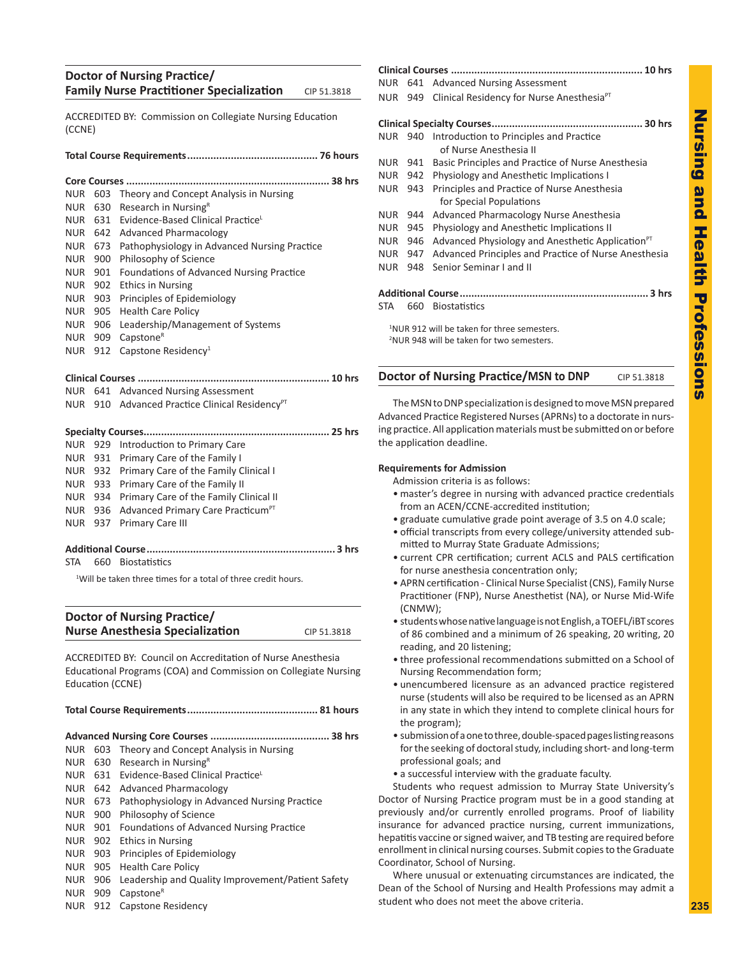# **Nursing** Nursing and Health Professions pue Health Professions

# **Doctor of Nursing Practice/ Family Nurse Practitioner Specialization** CIP 51.3818

ACCREDITED BY: Commission on Collegiate Nursing Education (CCNE)

#### **Total Course Requirements............................................. 76 hours**

| NUR.       | 603 | Theory and Concept Analysis in Nursing       |
|------------|-----|----------------------------------------------|
| NUR.       | 630 | Research in Nursing <sup>R</sup>             |
| NUR.       |     | 631 Evidence-Based Clinical Practice         |
| NUR.       | 642 | <b>Advanced Pharmacology</b>                 |
| NUR.       | 673 | Pathophysiology in Advanced Nursing Practice |
| NUR.       | 900 | Philosophy of Science                        |
| <b>NUR</b> | 901 | Foundations of Advanced Nursing Practice     |
| NUR.       |     | 902 Ethics in Nursing                        |
| NUR.       | 903 | Principles of Epidemiology                   |
| NUR.       | 905 | <b>Health Care Policy</b>                    |
| NUR        | 906 | Leadership/Management of Systems             |
| NUR        | 909 | Capstone <sup>R</sup>                        |
| NUR.       | 912 | Capstone Residency <sup>1</sup>              |
|            |     |                                              |
|            |     |                                              |
|            |     | NUR 641 Advanced Nursing Assessment          |
|            |     |                                              |

NUR 910 Advanced Practice Clinical Residency<sup>PT</sup>

|  | NUR 929 Introduction to Primary Care                  |  |
|--|-------------------------------------------------------|--|
|  | NUR 931 Primary Care of the Family I                  |  |
|  | NUR 932 Primary Care of the Family Clinical I         |  |
|  | NUR 933 Primary Care of the Family II                 |  |
|  | NUR 934 Primary Care of the Family Clinical II        |  |
|  | NUR 936 Advanced Primary Care Practicum <sup>PT</sup> |  |
|  | NUR 937 Primary Care III                              |  |
|  |                                                       |  |

# **Additional Course................................................................. 3 hrs**

STA 660 Biostatistics

<sup>1</sup>Will be taken three times for a total of three credit hours.

# **Doctor of Nursing Practice/ Nurse Anesthesia Specialization** CIP 51.3818

ACCREDITED BY: Council on Accreditation of Nurse Anesthesia Educational Programs (COA) and Commission on Collegiate Nursing Education (CCNE)

#### **Total Course Requirements............................................. 81 hours**

**Advanced Nursing Core Courses ......................................... 38 hrs** NUR 603 Theory and Concept Analysis in Nursing NUR  $630$  Research in Nursing<sup>R</sup> NUR 631 Evidence-Based Clinical PracticeL NUR 642 Advanced Pharmacology NUR 673 Pathophysiology in Advanced Nursing Practice NUR 900 Philosophy of Science NUR 901 Foundations of Advanced Nursing Practice NUR 902 Ethics in Nursing NUR 903 Principles of Epidemiology NUR 905 Health Care Policy NUR 906 Leadership and Quality Improvement/Patient Safety NUR 909 Capstone<sup>R</sup>

NUR 912 Capstone Residency

# **Clinical Courses .................................................................. 10 hrs** NUR 641 Advanced Nursing Assessment NUR 949 Clinical Residency for Nurse Anesthesia<sup>PT</sup> **Clinical Specialty Courses.................................................... 30 hrs** NUR 940 Introduction to Principles and Practice of Nurse Anesthesia II NUR 941 Basic Principles and Practice of Nurse Anesthesia NUR 942 Physiology and Anesthetic Implications I NUR 943 Principles and Practice of Nurse Anesthesia for Special Populations NUR 944 Advanced Pharmacology Nurse Anesthesia NUR 945 Physiology and Anesthetic Implications II NUR 946 Advanced Physiology and Anesthetic Application $PT$ NUR 947 Advanced Principles and Practice of Nurse Anesthesia NUR 948 Senior Seminar I and II **Additional Course................................................................. 3 hrs** STA 660 Biostatistics 1 NUR 912 will be taken for three semesters.

2 NUR 948 will be taken for two semesters.

#### **Doctor of Nursing Practice/MSN to DNP** CIP 51.3818

The MSN to DNP specialization is designed to move MSN prepared Advanced Practice Registered Nurses (APRNs) to a doctorate in nursing practice. All application materials must be submitted on or before the application deadline.

#### **Requirements for Admission**

Admission criteria is as follows:

- master's degree in nursing with advanced practice credentials from an ACEN/CCNE-accredited institution;
- graduate cumulative grade point average of 3.5 on 4.0 scale;
- official transcripts from every college/university attended submitted to Murray State Graduate Admissions;
- current CPR certification; current ACLS and PALS certification for nurse anesthesia concentration only;
- APRN certification Clinical Nurse Specialist (CNS), Family Nurse Practitioner (FNP), Nurse Anesthetist (NA), or Nurse Mid-Wife (CNMW);
- students whose native language is not English, a TOEFL/iBT scores of 86 combined and a minimum of 26 speaking, 20 writing, 20 reading, and 20 listening;
- three professional recommendations submitted on a School of Nursing Recommendation form;
- unencumbered licensure as an advanced practice registered nurse (students will also be required to be licensed as an APRN in any state in which they intend to complete clinical hours for the program);
- submission of a one to three, double-spaced pages listing reasons for the seeking of doctoral study, including short- and long-term professional goals; and
- a successful interview with the graduate faculty.

Students who request admission to Murray State University's Doctor of Nursing Practice program must be in a good standing at previously and/or currently enrolled programs. Proof of liability insurance for advanced practice nursing, current immunizations, hepatitis vaccine or signed waiver, and TB testing are required before enrollment in clinical nursing courses. Submit copies to the Graduate Coordinator, School of Nursing.

Where unusual or extenuating circumstances are indicated, the Dean of the School of Nursing and Health Professions may admit a student who does not meet the above criteria.